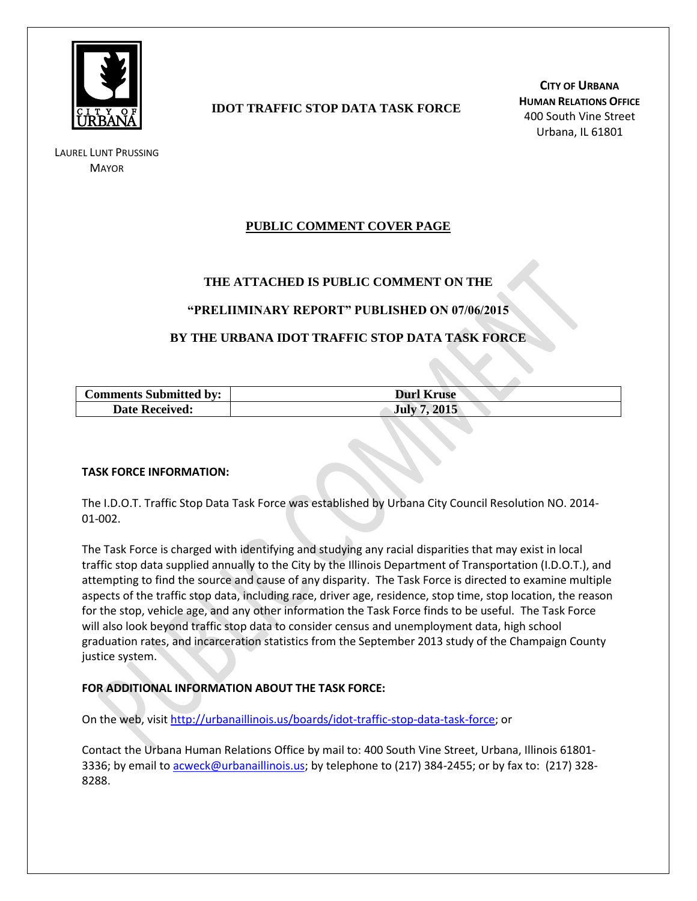

LAUREL LUNT PRUSSING **MAYOR** 

## **IDOT TRAFFIC STOP DATA TASK FORCE**

**CITY OF URBANA HUMAN RELATIONS OFFICE** 400 South Vine Street Urbana, IL 61801

### **PUBLIC COMMENT COVER PAGE**

### **THE ATTACHED IS PUBLIC COMMENT ON THE**

### **"PRELIIMINARY REPORT" PUBLISHED ON 07/06/2015**

### **BY THE URBANA IDOT TRAFFIC STOP DATA TASK FORCE**

| <b>Comments Submitted by:</b> | <b>Durl Kruse</b> |
|-------------------------------|-------------------|
| <b>Date Received:</b>         | 2015<br>July 7    |

#### **TASK FORCE INFORMATION:**

The I.D.O.T. Traffic Stop Data Task Force was established by Urbana City Council Resolution NO. 2014- 01-002.

The Task Force is charged with identifying and studying any racial disparities that may exist in local traffic stop data supplied annually to the City by the Illinois Department of Transportation (I.D.O.T.), and attempting to find the source and cause of any disparity. The Task Force is directed to examine multiple aspects of the traffic stop data, including race, driver age, residence, stop time, stop location, the reason for the stop, vehicle age, and any other information the Task Force finds to be useful. The Task Force will also look beyond traffic stop data to consider census and unemployment data, high school graduation rates, and incarceration statistics from the September 2013 study of the Champaign County justice system.

### **FOR ADDITIONAL INFORMATION ABOUT THE TASK FORCE:**

On the web, visit [http://urbanaillinois.us/boards/idot-traffic-stop-data-task-force;](http://urbanaillinois.us/boards/idot-traffic-stop-data-task-force) or

Contact the Urbana Human Relations Office by mail to: 400 South Vine Street, Urbana, Illinois 61801 3336; by email to [acweck@urbanaillinois.us;](mailto:acweck@urbanaillinois.us) by telephone to (217) 384-2455; or by fax to: (217) 328-8288.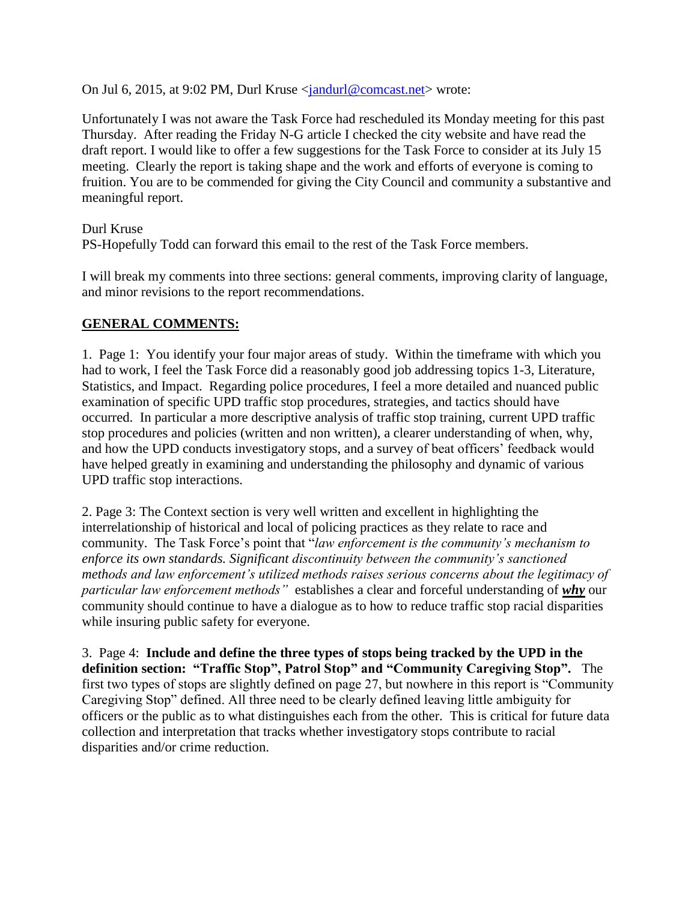On Jul 6, 2015, at 9:02 PM, Durl Kruse [<jandurl@comcast.net>](mailto:jandurl@comcast.net) wrote:

Unfortunately I was not aware the Task Force had rescheduled its Monday meeting for this past Thursday. After reading the Friday N-G article I checked the city website and have read the draft report. I would like to offer a few suggestions for the Task Force to consider at its July 15 meeting. Clearly the report is taking shape and the work and efforts of everyone is coming to fruition. You are to be commended for giving the City Council and community a substantive and meaningful report.

Durl Kruse PS-Hopefully Todd can forward this email to the rest of the Task Force members.

I will break my comments into three sections: general comments, improving clarity of language, and minor revisions to the report recommendations.

# **GENERAL COMMENTS:**

1. Page 1: You identify your four major areas of study. Within the timeframe with which you had to work, I feel the Task Force did a reasonably good job addressing topics 1-3, Literature, Statistics, and Impact. Regarding police procedures, I feel a more detailed and nuanced public examination of specific UPD traffic stop procedures, strategies, and tactics should have occurred. In particular a more descriptive analysis of traffic stop training, current UPD traffic stop procedures and policies (written and non written), a clearer understanding of when, why, and how the UPD conducts investigatory stops, and a survey of beat officers' feedback would have helped greatly in examining and understanding the philosophy and dynamic of various UPD traffic stop interactions.

2. Page 3: The Context section is very well written and excellent in highlighting the interrelationship of historical and local of policing practices as they relate to race and community. The Task Force's point that "*law enforcement is the community's mechanism to enforce its own standards. Significant discontinuity between the community's sanctioned methods and law enforcement's utilized methods raises serious concerns about the legitimacy of particular law enforcement methods"* establishes a clear and forceful understanding of *why* our community should continue to have a dialogue as to how to reduce traffic stop racial disparities while insuring public safety for everyone.

3. Page 4: **Include and define the three types of stops being tracked by the UPD in the definition section: "Traffic Stop", Patrol Stop" and "Community Caregiving Stop".** The first two types of stops are slightly defined on page 27, but nowhere in this report is "Community Caregiving Stop" defined. All three need to be clearly defined leaving little ambiguity for officers or the public as to what distinguishes each from the other. This is critical for future data collection and interpretation that tracks whether investigatory stops contribute to racial disparities and/or crime reduction.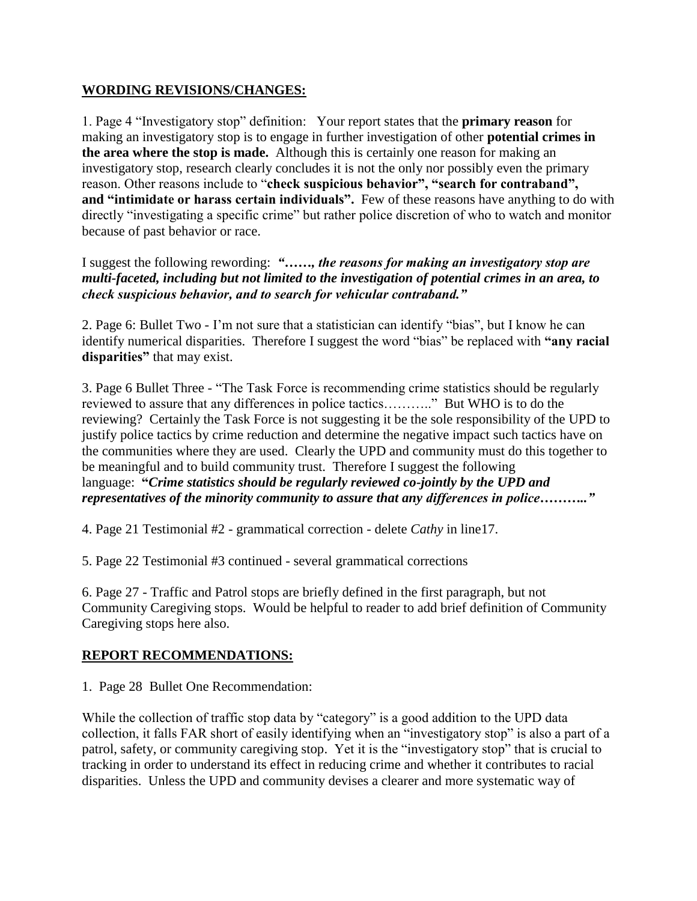## **WORDING REVISIONS/CHANGES:**

1. Page 4 "Investigatory stop" definition: Your report states that the **primary reason** for making an investigatory stop is to engage in further investigation of other **potential crimes in the area where the stop is made.** Although this is certainly one reason for making an investigatory stop, research clearly concludes it is not the only nor possibly even the primary reason. Other reasons include to "**check suspicious behavior", "search for contraband", and "intimidate or harass certain individuals".** Few of these reasons have anything to do with directly "investigating a specific crime" but rather police discretion of who to watch and monitor because of past behavior or race.

I suggest the following rewording: *"……, the reasons for making an investigatory stop are multi-faceted, including but not limited to the investigation of potential crimes in an area, to check suspicious behavior, and to search for vehicular contraband."*

2. Page 6: Bullet Two - I'm not sure that a statistician can identify "bias", but I know he can identify numerical disparities. Therefore I suggest the word "bias" be replaced with **"any racial disparities"** that may exist.

3. Page 6 Bullet Three - "The Task Force is recommending crime statistics should be regularly reviewed to assure that any differences in police tactics……….." But WHO is to do the reviewing? Certainly the Task Force is not suggesting it be the sole responsibility of the UPD to justify police tactics by crime reduction and determine the negative impact such tactics have on the communities where they are used. Clearly the UPD and community must do this together to be meaningful and to build community trust. Therefore I suggest the following language: **"***Crime statistics should be regularly reviewed co-jointly by the UPD and representatives of the minority community to assure that any differences in police……….."*

4. Page 21 Testimonial #2 - grammatical correction - delete *Cathy* in line17.

5. Page 22 Testimonial #3 continued - several grammatical corrections

6. Page 27 - Traffic and Patrol stops are briefly defined in the first paragraph, but not Community Caregiving stops. Would be helpful to reader to add brief definition of Community Caregiving stops here also.

# **REPORT RECOMMENDATIONS:**

1. Page 28 Bullet One Recommendation:

While the collection of traffic stop data by "category" is a good addition to the UPD data collection, it falls FAR short of easily identifying when an "investigatory stop" is also a part of a patrol, safety, or community caregiving stop. Yet it is the "investigatory stop" that is crucial to tracking in order to understand its effect in reducing crime and whether it contributes to racial disparities. Unless the UPD and community devises a clearer and more systematic way of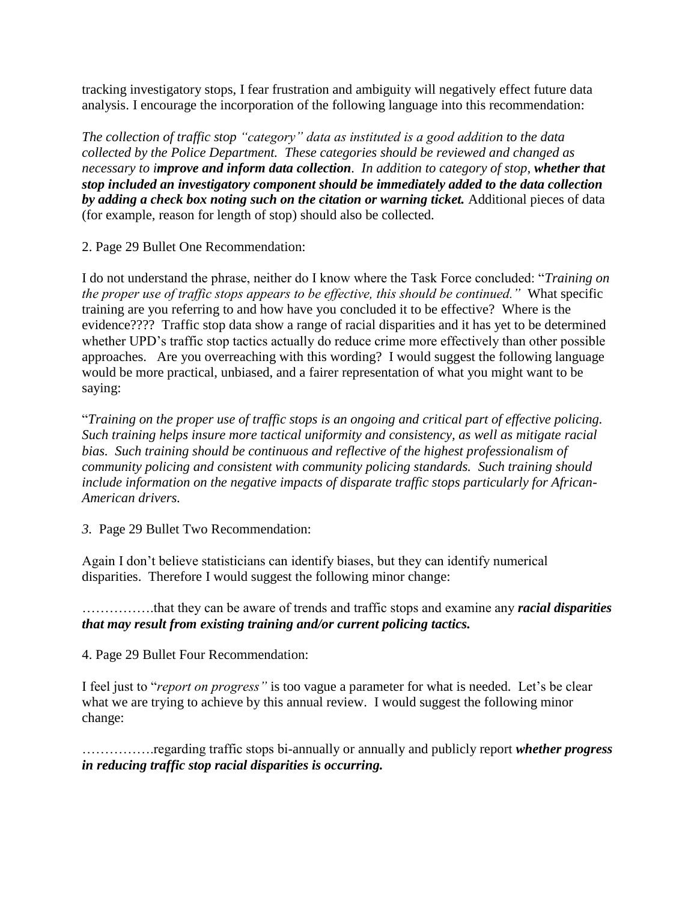tracking investigatory stops, I fear frustration and ambiguity will negatively effect future data analysis. I encourage the incorporation of the following language into this recommendation:

*The collection of traffic stop "category" data as instituted is a good addition to the data collected by the Police Department. These categories should be reviewed and changed as necessary to improve and inform data collection. In addition to category of stop, whether that stop included an investigatory component should be immediately added to the data collection by adding a check box noting such on the citation or warning ticket.* Additional pieces of data (for example, reason for length of stop) should also be collected.

2. Page 29 Bullet One Recommendation:

I do not understand the phrase, neither do I know where the Task Force concluded: "*Training on the proper use of traffic stops appears to be effective, this should be continued."* What specific training are you referring to and how have you concluded it to be effective? Where is the evidence???? Traffic stop data show a range of racial disparities and it has yet to be determined whether UPD's traffic stop tactics actually do reduce crime more effectively than other possible approaches. Are you overreaching with this wording? I would suggest the following language would be more practical, unbiased, and a fairer representation of what you might want to be saying:

"*Training on the proper use of traffic stops is an ongoing and critical part of effective policing. Such training helps insure more tactical uniformity and consistency, as well as mitigate racial bias. Such training should be continuous and reflective of the highest professionalism of community policing and consistent with community policing standards. Such training should include information on the negative impacts of disparate traffic stops particularly for African-American drivers.*

*3.* Page 29 Bullet Two Recommendation:

Again I don't believe statisticians can identify biases, but they can identify numerical disparities. Therefore I would suggest the following minor change:

…………….that they can be aware of trends and traffic stops and examine any *racial disparities that may result from existing training and/or current policing tactics.*

4. Page 29 Bullet Four Recommendation:

I feel just to "*report on progress"* is too vague a parameter for what is needed. Let's be clear what we are trying to achieve by this annual review. I would suggest the following minor change:

…………….regarding traffic stops bi-annually or annually and publicly report *whether progress in reducing traffic stop racial disparities is occurring.*